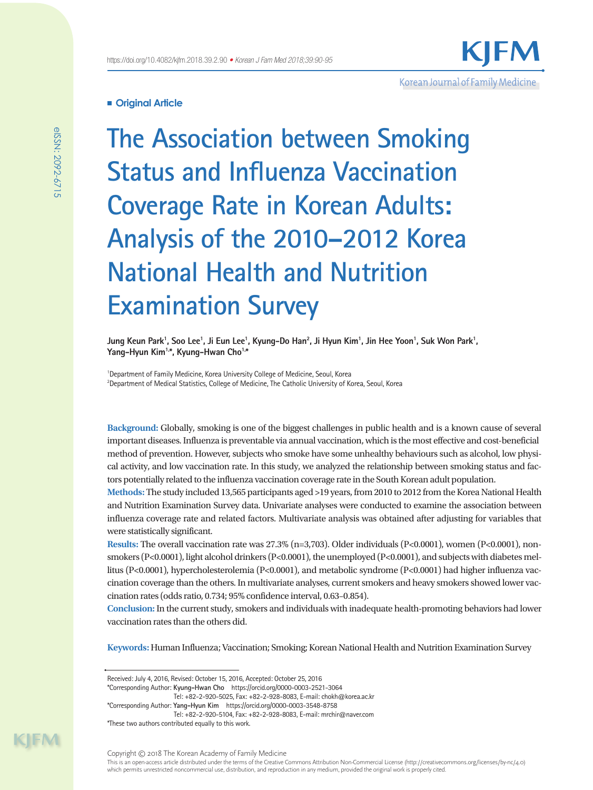# Korean Journal of Family Medicine

# **Original Article**

**The Association between Smoking Status and Influenza Vaccination Coverage Rate in Korean Adults: Analysis of the 2010–2012 Korea National Health and Nutrition Examination Survey**

Jung Keun Park<sup>1</sup>, Soo Lee<sup>1</sup>, Ji Eun Lee<sup>1</sup>, Kyung-Do Han<sup>2</sup>, Ji Hyun Kim<sup>1</sup>, Jin Hee Yoon<sup>1</sup>, Suk Won Park<sup>1</sup>, Yang-Hyun Kim<sup>1,\*</sup>, Kyung-Hwan Cho<sup>1,\*</sup>

<sup>1</sup>Department of Family Medicine, Korea University College of Medicine, Seoul, Korea 2 Department of Medical Statistics, College of Medicine, The Catholic University of Korea, Seoul, Korea

**Background:** Globally, smoking is one of the biggest challenges in public health and is a known cause of several important diseases. Influenza is preventable via annual vaccination, which is the most effective and cost-beneficial method of prevention. However, subjects who smoke have some unhealthy behaviours such as alcohol, low physical activity, and low vaccination rate. In this study, we analyzed the relationship between smoking status and factors potentially related to the influenza vaccination coverage rate in the South Korean adult population.

**Methods:** The study included 13,565 participants aged >19 years, from 2010 to 2012 from the Korea National Health and Nutrition Examination Survey data. Univariate analyses were conducted to examine the association between influenza coverage rate and related factors. Multivariate analysis was obtained after adjusting for variables that were statistically significant.

**Results:** The overall vaccination rate was 27.3% (n=3,703). Older individuals (P<0.0001), women (P<0.0001), nonsmokers (P<0.0001), light alcohol drinkers (P<0.0001), the unemployed (P<0.0001), and subjects with diabetes mellitus (P<0.0001), hypercholesterolemia (P<0.0001), and metabolic syndrome (P<0.0001) had higher influenza vaccination coverage than the others. In multivariate analyses, current smokers and heavy smokers showed lower vaccination rates (odds ratio, 0.734; 95% confidence interval, 0.63–0.854).

**Conclusion:** In the current study, smokers and individuals with inadequate health-promoting behaviors had lower vaccination rates than the others did.

**Keywords:** Human Influenza; Vaccination; Smoking; Korean National Health and Nutrition Examination Survey

Tel: +82-2-920-5025, Fax: +82-2-928-8083, E-mail: chokh@korea.ac.kr

Received: July 4, 2016, Revised: October 15, 2016, Accepted: October 25, 2016

<sup>\*</sup>Corresponding Author: **Kyung-Hwan Cho** https://orcid.org/0000-0003-2521-3064

<sup>\*</sup>Corresponding Author: **Yang-Hyun Kim** https://orcid.org/0000-0003-3548-8758 Tel: +82-2-920-5104, Fax: +82-2-928-8083, E-mail: mrchir@naver.com \*These two authors contributed equally to this work.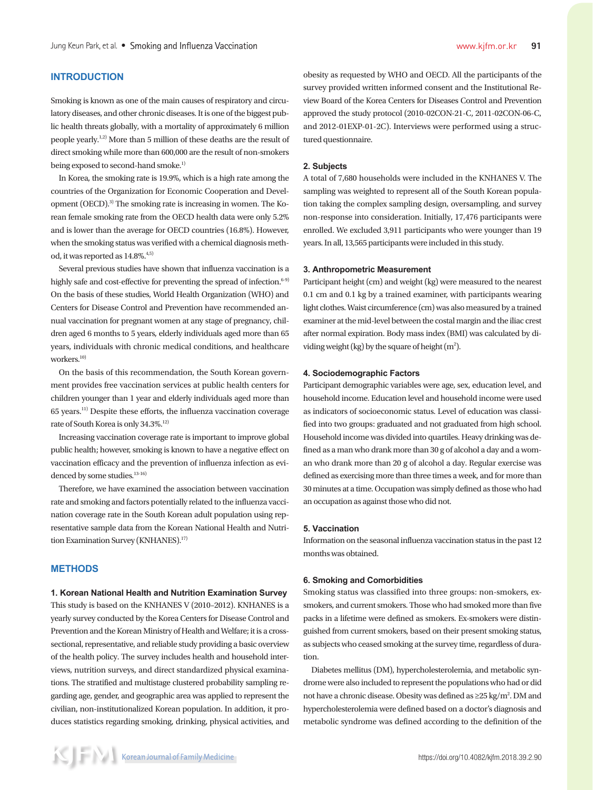## **INTRODUCTION**

Smoking is known as one of the main causes of respiratory and circulatory diseases, and other chronic diseases. It is one of the biggest public health threats globally, with a mortality of approximately 6 million people yearly.1,2) More than 5 million of these deaths are the result of direct smoking while more than 600,000 are the result of non-smokers being exposed to second-hand smoke.<sup>1)</sup>

In Korea, the smoking rate is 19.9%, which is a high rate among the countries of the Organization for Economic Cooperation and Development (OECD).3) The smoking rate is increasing in women. The Korean female smoking rate from the OECD health data were only 5.2% and is lower than the average for OECD countries (16.8%). However, when the smoking status was verified with a chemical diagnosis method, it was reported as  $14.8\%^{4,5)}$ 

Several previous studies have shown that influenza vaccination is a highly safe and cost-effective for preventing the spread of infection. $6-9$ On the basis of these studies, World Health Organization (WHO) and Centers for Disease Control and Prevention have recommended annual vaccination for pregnant women at any stage of pregnancy, children aged 6 months to 5 years, elderly individuals aged more than 65 years, individuals with chronic medical conditions, and healthcare workers.<sup>10)</sup>

On the basis of this recommendation, the South Korean government provides free vaccination services at public health centers for children younger than 1 year and elderly individuals aged more than 65 years.11) Despite these efforts, the influenza vaccination coverage rate of South Korea is only 34.3%.<sup>12)</sup>

Increasing vaccination coverage rate is important to improve global public health; however, smoking is known to have a negative effect on vaccination efficacy and the prevention of influenza infection as evidenced by some studies.  $13-16$ )

Therefore, we have examined the association between vaccination rate and smoking and factors potentially related to the influenza vaccination coverage rate in the South Korean adult population using representative sample data from the Korean National Health and Nutrition Examination Survey (KNHANES).17)

## **METHODS**

### **1. Korean National Health and Nutrition Examination Survey**

This study is based on the KNHANES V (2010–2012). KNHANES is a yearly survey conducted by the Korea Centers for Disease Control and Prevention and the Korean Ministry of Health and Welfare; it is a crosssectional, representative, and reliable study providing a basic overview of the health policy. The survey includes health and household interviews, nutrition surveys, and direct standardized physical examinations. The stratified and multistage clustered probability sampling regarding age, gender, and geographic area was applied to represent the civilian, non-institutionalized Korean population. In addition, it produces statistics regarding smoking, drinking, physical activities, and obesity as requested by WHO and OECD. All the participants of the survey provided written informed consent and the Institutional Review Board of the Korea Centers for Diseases Control and Prevention approved the study protocol (2010-02CON-21-C, 2011-02CON-06-C, and 2012-01EXP-01-2C). Interviews were performed using a structured questionnaire.

## **2. Subjects**

A total of 7,680 households were included in the KNHANES V. The sampling was weighted to represent all of the South Korean population taking the complex sampling design, oversampling, and survey non-response into consideration. Initially, 17,476 participants were enrolled. We excluded 3,911 participants who were younger than 19 years. In all, 13,565 participants were included in this study.

## **3. Anthropometric Measurement**

Participant height (cm) and weight (kg) were measured to the nearest 0.1 cm and 0.1 kg by a trained examiner, with participants wearing light clothes. Waist circumference (cm) was also measured by a trained examiner at the mid-level between the costal margin and the iliac crest after normal expiration. Body mass index (BMI) was calculated by dividing weight (kg) by the square of height  $(m^2)$ .

## **4. Sociodemographic Factors**

Participant demographic variables were age, sex, education level, and household income. Education level and household income were used as indicators of socioeconomic status. Level of education was classified into two groups: graduated and not graduated from high school. Household income was divided into quartiles. Heavy drinking was defined as a man who drank more than 30 g of alcohol a day and a woman who drank more than 20 g of alcohol a day. Regular exercise was defined as exercising more than three times a week, and for more than 30 minutes at a time. Occupation was simply defined as those who had an occupation as against those who did not.

#### **5. Vaccination**

Information on the seasonal influenza vaccination status in the past 12 months was obtained.

#### **6. Smoking and Comorbidities**

Smoking status was classified into three groups: non-smokers, exsmokers, and current smokers. Those who had smoked more than five packs in a lifetime were defined as smokers. Ex-smokers were distinguished from current smokers, based on their present smoking status, as subjects who ceased smoking at the survey time, regardless of duration.

Diabetes mellitus (DM), hypercholesterolemia, and metabolic syndrome were also included to represent the populations who had or did not have a chronic disease. Obesity was defined as  $\geq$ 25 kg/m<sup>2</sup>. DM and hypercholesterolemia were defined based on a doctor's diagnosis and metabolic syndrome was defined according to the definition of the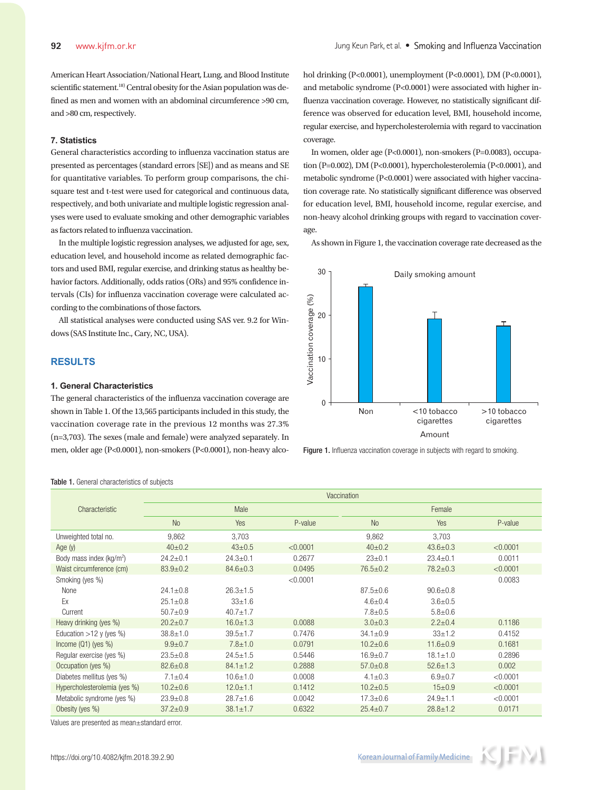American Heart Association/National Heart, Lung, and Blood Institute scientific statement.<sup>18)</sup> Central obesity for the Asian population was defined as men and women with an abdominal circumference >90 cm, and >80 cm, respectively.

# **7. Statistics**

General characteristics according to influenza vaccination status are presented as percentages (standard errors [SE]) and as means and SE for quantitative variables. To perform group comparisons, the chisquare test and t-test were used for categorical and continuous data, respectively, and both univariate and multiple logistic regression analyses were used to evaluate smoking and other demographic variables as factors related to influenza vaccination.

In the multiple logistic regression analyses, we adjusted for age, sex, education level, and household income as related demographic factors and used BMI, regular exercise, and drinking status as healthy behavior factors. Additionally, odds ratios (ORs) and 95% confidence intervals (CIs) for influenza vaccination coverage were calculated according to the combinations of those factors.

All statistical analyses were conducted using SAS ver. 9.2 for Windows (SAS Institute Inc., Cary, NC, USA).

# **RESULTS**

## **1. General Characteristics**

The general characteristics of the influenza vaccination coverage are shown in Table 1. Of the 13,565 participants included in this study, the vaccination coverage rate in the previous 12 months was 27.3% (n=3,703). The sexes (male and female) were analyzed separately. In men, older age (P<0.0001), non-smokers (P<0.0001), non-heavy alcohol drinking (P<0.0001), unemployment (P<0.0001), DM (P<0.0001), and metabolic syndrome (P<0.0001) were associated with higher influenza vaccination coverage. However, no statistically significant difference was observed for education level, BMI, household income, regular exercise, and hypercholesterolemia with regard to vaccination coverage.

In women, older age (P<0.0001), non-smokers (P=0.0083), occupation (P=0.002), DM (P<0.0001), hypercholesterolemia (P<0.0001), and metabolic syndrome (P<0.0001) were associated with higher vaccination coverage rate. No statistically significant difference was observed for education level, BMI, household income, regular exercise, and non-heavy alcohol drinking groups with regard to vaccination coverage.

As shown in Figure 1, the vaccination coverage rate decreased as the



Figure 1. Influenza vaccination coverage in subjects with regard to smoking.

|                                      | Vaccination    |                |          |                |                |          |  |
|--------------------------------------|----------------|----------------|----------|----------------|----------------|----------|--|
| Characteristic                       | Male           |                |          | Female         |                |          |  |
|                                      | <b>No</b>      | Yes            | P-value  | No             | Yes            | P-value  |  |
| Unweighted total no.                 | 9,862          | 3,703          |          | 9,862          | 3,703          |          |  |
| Age $(y)$                            | $40+0.2$       | $43 \pm 0.5$   | < 0.0001 | $40+0.2$       | $43.6 \pm 0.3$ | < 0.0001 |  |
| Body mass index (kg/m <sup>2</sup> ) | $24.2 \pm 0.1$ | $24.3 \pm 0.1$ | 0.2677   | $23 \pm 0.1$   | $23.4 \pm 0.1$ | 0.0011   |  |
| Waist circumference (cm)             | $83.9 \pm 0.2$ | $84.6 \pm 0.3$ | 0.0495   | $76.5 \pm 0.2$ | $78.2 \pm 0.3$ | < 0.0001 |  |
| Smoking (yes %)                      |                |                | < 0.0001 |                |                | 0.0083   |  |
| None                                 | $24.1 + 0.8$   | $26.3 + 1.5$   |          | $87.5 \pm 0.6$ | $90.6 \pm 0.8$ |          |  |
| Ex                                   | $25.1 \pm 0.8$ | $33 + 1.6$     |          | $4.6 \pm 0.4$  | $3.6 + 0.5$    |          |  |
| Current                              | $50.7 + 0.9$   | $40.7 \pm 1.7$ |          | $7.8 \pm 0.5$  | $5.8 \pm 0.6$  |          |  |
| Heavy drinking (yes %)               | $20.2 \pm 0.7$ | $16.0 \pm 1.3$ | 0.0088   | $3.0 \pm 0.3$  | $2.2 \pm 0.4$  | 0.1186   |  |
| Education $>12$ y (yes %)            | $38.8 \pm 1.0$ | $39.5 \pm 1.7$ | 0.7476   | $34.1 \pm 0.9$ | $33 + 1.2$     | 0.4152   |  |
| Income $(Q1)$ (yes %)                | $9.9 + 0.7$    | $7.8 \pm 1.0$  | 0.0791   | $10.2 \pm 0.6$ | $11.6 \pm 0.9$ | 0.1681   |  |
| Regular exercise (yes %)             | $23.5 \pm 0.8$ | $24.5 \pm 1.5$ | 0.5446   | $16.9 \pm 0.7$ | $18.1 \pm 1.0$ | 0.2896   |  |
| Occupation (yes %)                   | $82.6 \pm 0.8$ | $84.1 \pm 1.2$ | 0.2888   | $57.0 \pm 0.8$ | $52.6 \pm 1.3$ | 0.002    |  |
| Diabetes mellitus (yes %)            | $7.1 \pm 0.4$  | $10.6 \pm 1.0$ | 0.0008   | $4.1 \pm 0.3$  | $6.9 + 0.7$    | < 0.0001 |  |
| Hypercholesterolemia (yes %)         | $10.2 \pm 0.6$ | $12.0 + 1.1$   | 0.1412   | $10.2 \pm 0.5$ | $15+0.9$       | < 0.0001 |  |
| Metabolic syndrome (yes %)           | $23.9 \pm 0.8$ | $28.7 \pm 1.6$ | 0.0042   | $17.3 \pm 0.6$ | $24.9 + 1.1$   | < 0.0001 |  |
| Obesity (yes %)                      | $37.2 \pm 0.9$ | $38.1 \pm 1.7$ | 0.6322   | $25.4 \pm 0.7$ | $28.8 \pm 1.2$ | 0.0171   |  |

Values are presented as mean±standard error.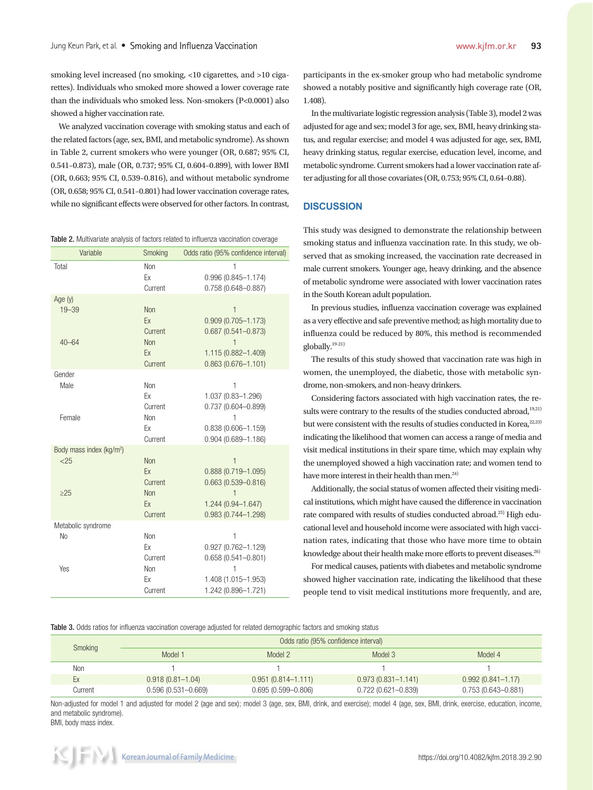smoking level increased (no smoking, <10 cigarettes, and >10 cigarettes). Individuals who smoked more showed a lower coverage rate than the individuals who smoked less. Non-smokers (P<0.0001) also showed a higher vaccination rate.

We analyzed vaccination coverage with smoking status and each of the related factors (age, sex, BMI, and metabolic syndrome). As shown in Table 2, current smokers who were younger (OR, 0.687; 95% CI, 0.541–0.873), male (OR, 0.737; 95% CI, 0.604–0.899), with lower BMI (OR, 0.663; 95% CI, 0.539–0.816), and without metabolic syndrome (OR, 0.658; 95% CI, 0.541–0.801) had lower vaccination coverage rates, while no significant effects were observed for other factors. In contrast,

Table 2. Multivariate analysis of factors related to influenza vaccination coverage

| Variable                    | Smoking       | Odds ratio (95% confidence interval)             |  |
|-----------------------------|---------------|--------------------------------------------------|--|
| Total                       | Non           | 1                                                |  |
|                             | Ex<br>Current | $0.996(0.845 - 1.174)$<br>$0.758(0.648 - 0.887)$ |  |
| Age $(y)$                   |               |                                                  |  |
| $19 - 39$                   | <b>Non</b>    | $\mathbf{1}$                                     |  |
|                             | Ex            | $0.909(0.705 - 1.173)$                           |  |
|                             | Current       | $0.687(0.541 - 0.873)$                           |  |
| $40 - 64$                   | Non           | $\mathbf{1}$                                     |  |
|                             | Ex            | 1.115 (0.882-1.409)                              |  |
|                             | Current       | $0.863(0.676 - 1.101)$                           |  |
| Gender                      |               |                                                  |  |
| Male                        | Non           | 1                                                |  |
|                             | Ex            | 1.037 (0.83-1.296)                               |  |
|                             | Current       | $0.737(0.604 - 0.899)$                           |  |
| Female                      | Non           | 1                                                |  |
|                             | Ex<br>Current | $0.838(0.606 - 1.159)$<br>$0.904(0.689 - 1.186)$ |  |
| Body mass index ( $kg/m2$ ) |               |                                                  |  |
| < 25                        | Non           | $\mathbf{1}$                                     |  |
|                             | Ex            | $0.888(0.719 - 1.095)$                           |  |
|                             | Current       | $0.663(0.539 - 0.816)$                           |  |
| $\geq$ 25                   | Non           |                                                  |  |
|                             | Ex            | 1.244 (0.94-1.647)                               |  |
|                             | Current       | $0.983(0.744 - 1.298)$                           |  |
| Metabolic syndrome          |               |                                                  |  |
| N <sub>o</sub>              | Non           | 1                                                |  |
|                             | Ex            | 0.927 (0.762-1.129)                              |  |
|                             | Current       | $0.658(0.541 - 0.801)$                           |  |
| Yes                         | Non           | 1                                                |  |
|                             | Ex            | 1.408 (1.015-1.953)                              |  |
|                             | Current       | 1.242 (0.896-1.721)                              |  |

participants in the ex-smoker group who had metabolic syndrome showed a notably positive and significantly high coverage rate (OR, 1.408).

In the multivariate logistic regression analysis (Table 3), model 2 was adjusted for age and sex; model 3 for age, sex, BMI, heavy drinking status, and regular exercise; and model 4 was adjusted for age, sex, BMI, heavy drinking status, regular exercise, education level, income, and metabolic syndrome. Current smokers had a lower vaccination rate after adjusting for all those covariates (OR, 0.753; 95% CI, 0.64–0.88).

# **DISCUSSION**

This study was designed to demonstrate the relationship between smoking status and influenza vaccination rate. In this study, we observed that as smoking increased, the vaccination rate decreased in male current smokers. Younger age, heavy drinking, and the absence of metabolic syndrome were associated with lower vaccination rates in the South Korean adult population.

In previous studies, influenza vaccination coverage was explained as a very effective and safe preventive method; as high mortality due to influenza could be reduced by 80%, this method is recommended globally.19-21)

The results of this study showed that vaccination rate was high in women, the unemployed, the diabetic, those with metabolic syndrome, non-smokers, and non-heavy drinkers.

Considering factors associated with high vaccination rates, the results were contrary to the results of the studies conducted abroad,<sup>19,21)</sup> but were consistent with the results of studies conducted in Korea,<sup>22,23)</sup> indicating the likelihood that women can access a range of media and visit medical institutions in their spare time, which may explain why the unemployed showed a high vaccination rate; and women tend to have more interest in their health than men.<sup>24)</sup>

Additionally, the social status of women affected their visiting medical institutions, which might have caused the difference in vaccination rate compared with results of studies conducted abroad.25) High educational level and household income were associated with high vaccination rates, indicating that those who have more time to obtain knowledge about their health make more efforts to prevent diseases.<sup>26)</sup>

For medical causes, patients with diabetes and metabolic syndrome showed higher vaccination rate, indicating the likelihood that these people tend to visit medical institutions more frequently, and are,

Table 3. Odds ratios for influenza vaccination coverage adjusted for related demographic factors and smoking status

| Smoking | Odds ratio (95% confidence interval) |                        |                        |                        |  |  |
|---------|--------------------------------------|------------------------|------------------------|------------------------|--|--|
|         | Model 1                              | Model 2                | Model 3                | Model 4                |  |  |
| Non     |                                      |                        |                        |                        |  |  |
| Ex      | $0.918(0.81 - 1.04)$                 | $0.951(0.814 - 1.111)$ | $0.973(0.831 - 1.141)$ | $0.992(0.841 - 1.17)$  |  |  |
| Current | $0.596(0.531 - 0.669)$               | $0.695(0.599 - 0.806)$ | 0.722 (0.621-0.839)    | $0.753(0.643 - 0.881)$ |  |  |

Non-adjusted for model 1 and adjusted for model 2 (age and sex); model 3 (age, sex, BMI, drink, and exercise); model 4 (age, sex, BMI, drink, exercise, education, income, and metabolic syndrome). BMI, body mass index.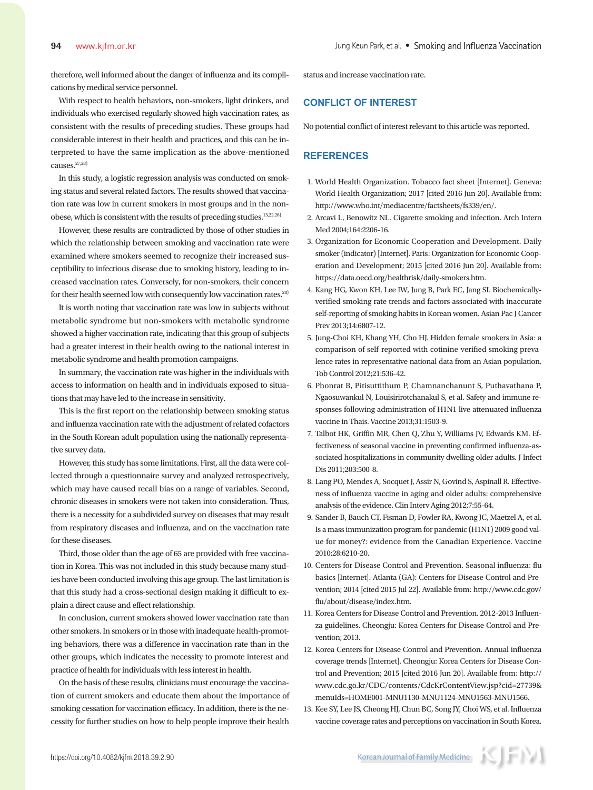therefore, well informed about the danger of influenza and its complications by medical service personnel.

With respect to health behaviors, non-smokers, light drinkers, and individuals who exercised regularly showed high vaccination rates, as consistent with the results of preceding studies. These groups had considerable interest in their health and practices, and this can be interpreted to have the same implication as the above-mentioned causes.27,28)

In this study, a logistic regression analysis was conducted on smoking status and several related factors. The results showed that vaccination rate was low in current smokers in most groups and in the nonobese, which is consistent with the results of preceding studies. $^{13,22,26)}$ 

However, these results are contradicted by those of other studies in which the relationship between smoking and vaccination rate were examined where smokers seemed to recognize their increased susceptibility to infectious disease due to smoking history, leading to increased vaccination rates. Conversely, for non-smokers, their concern for their health seemed low with consequently low vaccination rates.28)

It is worth noting that vaccination rate was low in subjects without metabolic syndrome but non-smokers with metabolic syndrome showed a higher vaccination rate, indicating that this group of subjects had a greater interest in their health owing to the national interest in metabolic syndrome and health promotion campaigns.

In summary, the vaccination rate was higher in the individuals with access to information on health and in individuals exposed to situations that may have led to the increase in sensitivity.

This is the first report on the relationship between smoking status and influenza vaccination rate with the adjustment of related cofactors in the South Korean adult population using the nationally representative survey data.

However, this study has some limitations. First, all the data were collected through a questionnaire survey and analyzed retrospectively, which may have caused recall bias on a range of variables. Second, chronic diseases in smokers were not taken into consideration. Thus, there is a necessity for a subdivided survey on diseases that may result from respiratory diseases and influenza, and on the vaccination rate for these diseases.

Third, those older than the age of 65 are provided with free vaccination in Korea. This was not included in this study because many studies have been conducted involving this age group. The last limitation is that this study had a cross-sectional design making it difficult to explain a direct cause and effect relationship.

In conclusion, current smokers showed lower vaccination rate than other smokers. In smokers or in those with inadequate health-promoting behaviors, there was a difference in vaccination rate than in the other groups, which indicates the necessity to promote interest and practice of health for individuals with less interest in health.

On the basis of these results, clinicians must encourage the vaccination of current smokers and educate them about the importance of smoking cessation for vaccination efficacy. In addition, there is the necessity for further studies on how to help people improve their health status and increase vaccination rate.

# **CONFLICT OF INTEREST**

No potential conflict of interest relevant to this article was reported.

# **REFERENCES**

- 1. World Health Organization. Tobacco fact sheet [Internet]. Geneva: World Health Organization; 2017 [cited 2016 Jun 20]. Available from: http://www.who.int/mediacentre/factsheets/fs339/en/.
- 2. Arcavi L, Benowitz NL. Cigarette smoking and infection. Arch Intern Med 2004;164:2206-16.
- 3. Organization for Economic Cooperation and Development. Daily smoker (indicator) [Internet]. Paris: Organization for Economic Cooperation and Development; 2015 [cited 2016 Jun 20]. Available from: https://data.oecd.org/healthrisk/daily-smokers.htm.
- 4. Kang HG, Kwon KH, Lee IW, Jung B, Park EC, Jang SI. Biochemicallyverified smoking rate trends and factors associated with inaccurate self-reporting of smoking habits in Korean women. Asian Pac J Cancer Prev 2013;14:6807-12.
- 5. Jung-Choi KH, Khang YH, Cho HJ. Hidden female smokers in Asia: a comparison of self-reported with cotinine-verified smoking prevalence rates in representative national data from an Asian population. Tob Control 2012;21:536-42.
- 6. Phonrat B, Pitisuttithum P, Chamnanchanunt S, Puthavathana P, Ngaosuwankul N, Louisirirotchanakul S, et al. Safety and immune responses following administration of H1N1 live attenuated influenza vaccine in Thais. Vaccine 2013;31:1503-9.
- 7. Talbot HK, Griffin MR, Chen Q, Zhu Y, Williams JV, Edwards KM. Effectiveness of seasonal vaccine in preventing confirmed influenza-associated hospitalizations in community dwelling older adults. J Infect Dis 2011;203:500-8.
- 8. Lang PO, Mendes A, Socquet J, Assir N, Govind S, Aspinall R. Effectiveness of influenza vaccine in aging and older adults: comprehensive analysis of the evidence. Clin Interv Aging 2012;7:55-64.
- 9. Sander B, Bauch CT, Fisman D, Fowler RA, Kwong JC, Maetzel A, et al. Is a mass immunization program for pandemic (H1N1) 2009 good value for money?: evidence from the Canadian Experience. Vaccine 2010;28:6210-20.
- 10. Centers for Disease Control and Prevention. Seasonal influenza: flu basics [Internet]. Atlanta (GA): Centers for Disease Control and Prevention; 2014 [cited 2015 Jul 22]. Available from: http://www.cdc.gov/ flu/about/disease/index.htm.
- 11. Korea Centers for Disease Control and Prevention. 2012-2013 Influenza guidelines. Cheongju: Korea Centers for Disease Control and Prevention; 2013.
- 12. Korea Centers for Disease Control and Prevention. Annual influenza coverage trends [Internet]. Cheongju: Korea Centers for Disease Control and Prevention; 2015 [cited 2016 Jun 20]. Available from: http:// www.cdc.go.kr/CDC/contents/CdcKrContentView.jsp?cid=27739& menuIds=HOME001-MNU1130-MNU1124-MNU1563-MNU1566.
- 13. Kee SY, Lee JS, Cheong HJ, Chun BC, Song JY, Choi WS, et al. Influenza vaccine coverage rates and perceptions on vaccination in South Korea.